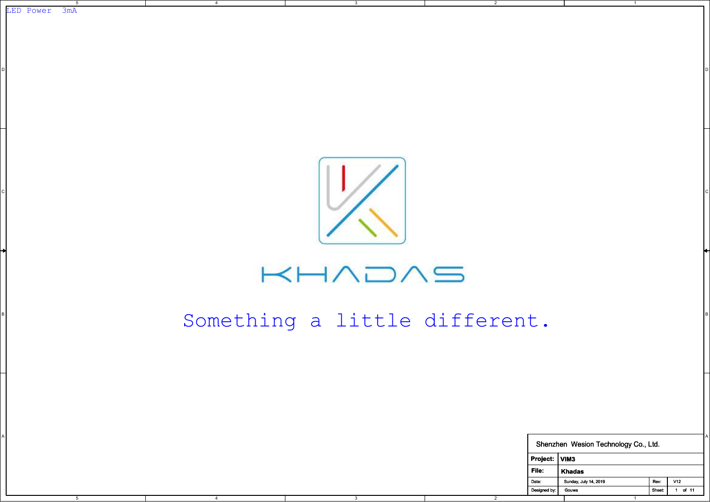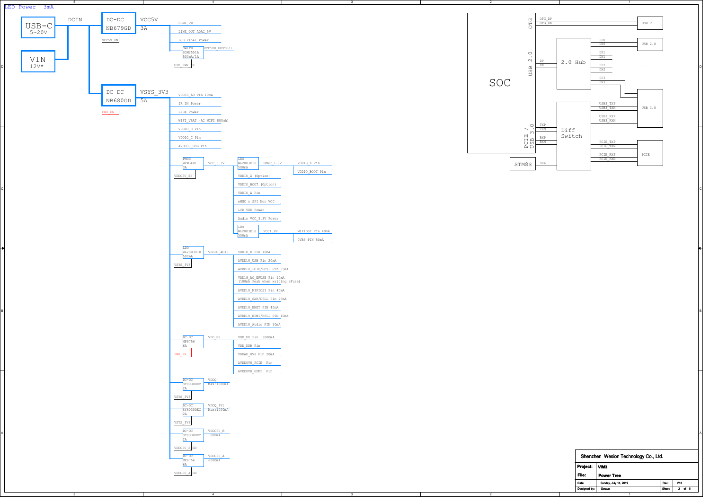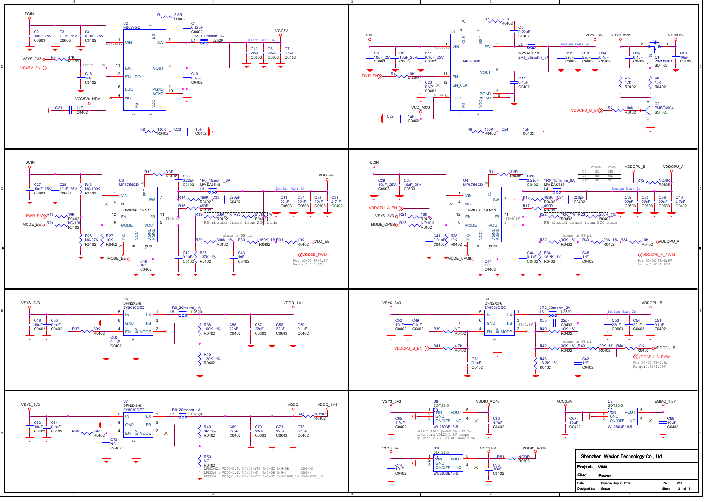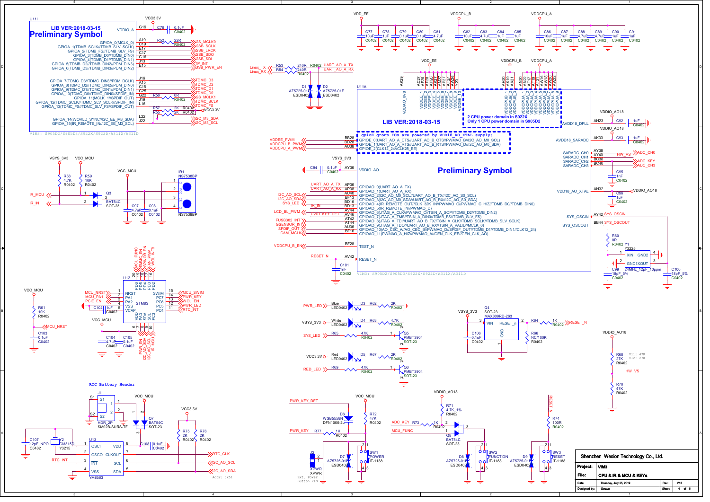

| U11I                                                                                                                                                                                                                                                                                                       | VCC3.3V                                                                                                                                                                                                                                                                                                                   |                                                                    |
|------------------------------------------------------------------------------------------------------------------------------------------------------------------------------------------------------------------------------------------------------------------------------------------------------------|---------------------------------------------------------------------------------------------------------------------------------------------------------------------------------------------------------------------------------------------------------------------------------------------------------------------------|--------------------------------------------------------------------|
| LIB VER: 2018-03-15<br><b>VDDIO A</b><br><b>Preliminary Symbol</b>                                                                                                                                                                                                                                         | G19<br>C76<br>$0.1$ u $F$<br>C0402                                                                                                                                                                                                                                                                                        |                                                                    |
| GPIOA 0(MCLK 0)<br>GPIOA_1(TDMB_SCLK//TDMB_SLV_SCLK)<br>GPIOA 2(TDMB FS//TDMB SLV FS)<br>GPIOA 3(TDMB D0//TDMB DINO)<br>GPIOA_4(TDMB_D1//TDMB_DIN1)<br>GPIOA 5(TDMB DZ//TDMB DIN2//PDM DIN3)<br>GPIOA 6(TDMB D3//TDMB DIN3//PDM DIN2)                                                                      | 22R<br>A19<br>R <sub>52</sub><br><b>J2S MCLK0</b><br>C19<br>R0402<br><b>2SB SCLK</b><br>E17<br><b>J2SB</b> LRCK<br>C17<br><b>J2SB SDO</b><br>G16<br><b>J2SB_SDI</b><br>J13<br>(TP INT<br>E <sub>15</sub><br>USB PWR EN                                                                                                    | 240R R0<br><b>R53</b><br>Linux_TX <<-<br>240R<br>Linux RX<br>R0402 |
| GPIOA 7(TDMC D3//TDMC DIN3//PDM DCLK)<br>GPIOA 8(TDMC D2//TDMC DIN2//PDM DIN0)<br>GPIOA 9(TDMC D1//TDMC DIN1//PDM DIN1)<br>GPIOA <sup>-10</sup> (TDMC D0//TDMC DIN0//SPDIF IN)<br>GPIOA_11(MCLK_1//SPDIF_OUT)<br>GPIOA 12(TDMC SCLK//TDMC SLV SCLK//SPDIF IN)<br>GPIOA 13(TDMC FS//TDMC SLV FS//SPDIF OUT) | J16<br>TDMC D3<br>A <sub>15</sub><br>TDMC D <sub>2</sub><br>C <sub>15</sub><br>TDMC <sup>D1</sup><br>G <sub>25</sub><br>TDMC D0<br>G <sub>22</sub><br><b>R56</b><br>0R<br><b>J2S MCLK1</b><br>J19<br>R0402<br>TDMC SCLK<br>L16<br><b>STDMC FS</b><br>2K R0402<br><b>R57</b><br>-OVCC3.3V<br><b>R55</b><br>2K R0402<br>L22 | D <sub>1</sub><br>AZ5725-01F<br>ESD0402                            |
| GPIOA 14(WORLD SYNC//I2C EE M3 SDA)<br>GPIOA 15(IR REMOTE IN//I2C EE M3 SCL)                                                                                                                                                                                                                               | <b>X2C M3 SDA</b><br>J22<br><b>J2C M3 SCL</b>                                                                                                                                                                                                                                                                             |                                                                    |

VIM3: S905D2/S905D3/S922X/S922D/A311X/A311D





RTC Battery Header

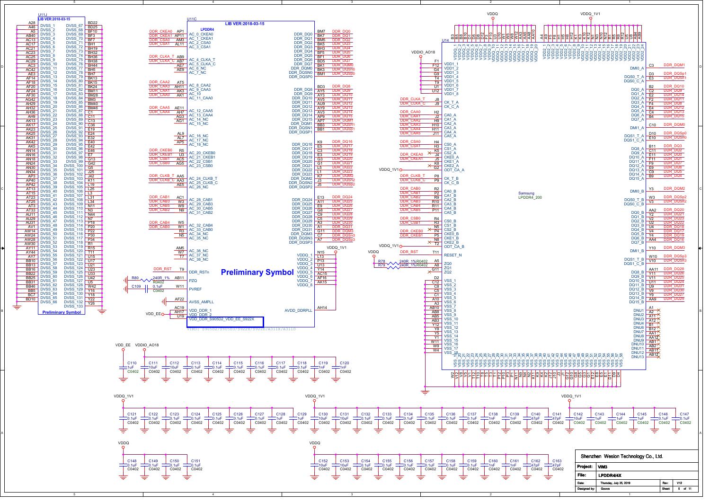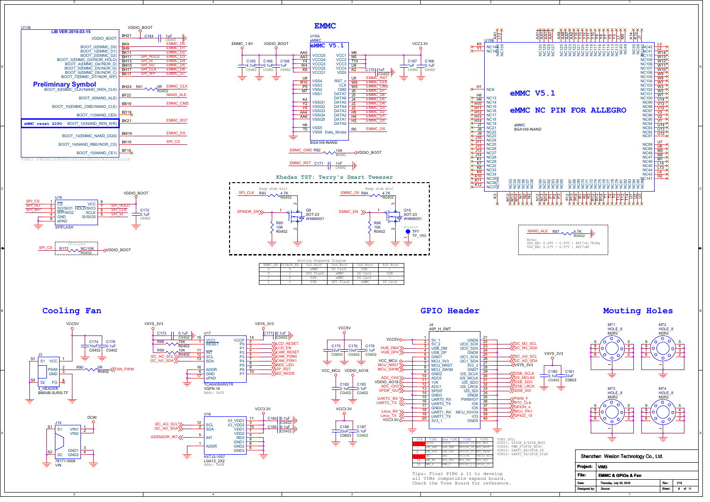

## Cooling Fan





5





4



all VIMs compatible expand board. Check the Tone Board for reference.



| Shenzhen Wesion Technology Co., Ltd. |                                             |               |                 |  |  |
|--------------------------------------|---------------------------------------------|---------------|-----------------|--|--|
| Project:                             | l VIM3<br><b>EMMC &amp; GPIOs &amp; Fan</b> |               |                 |  |  |
| File:                                |                                             |               |                 |  |  |
| Date:                                | Thursday, July 25, 2019                     | Rev.          | V <sub>12</sub> |  |  |
| Designed by:                         | Gouwa                                       | <b>Sheet:</b> | of 11           |  |  |
|                                      |                                             |               |                 |  |  |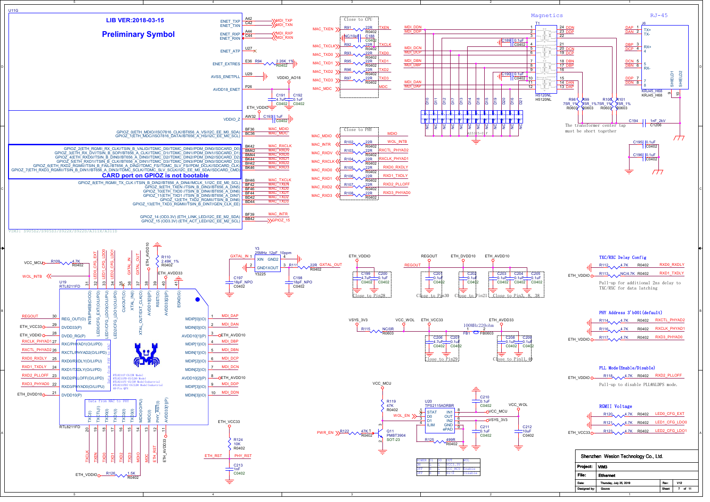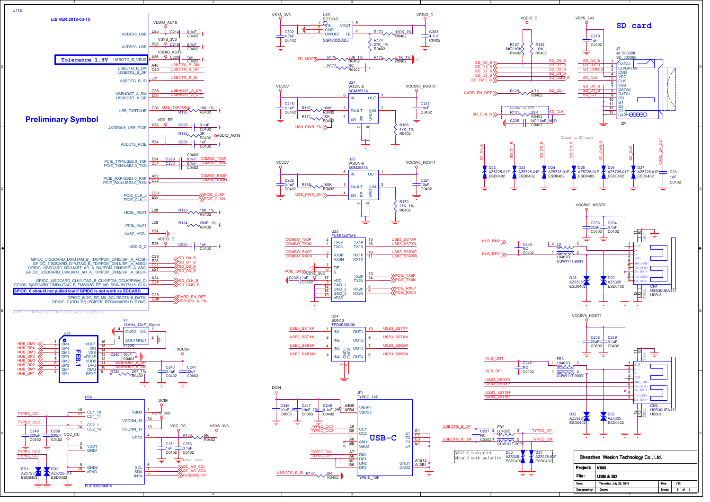

1





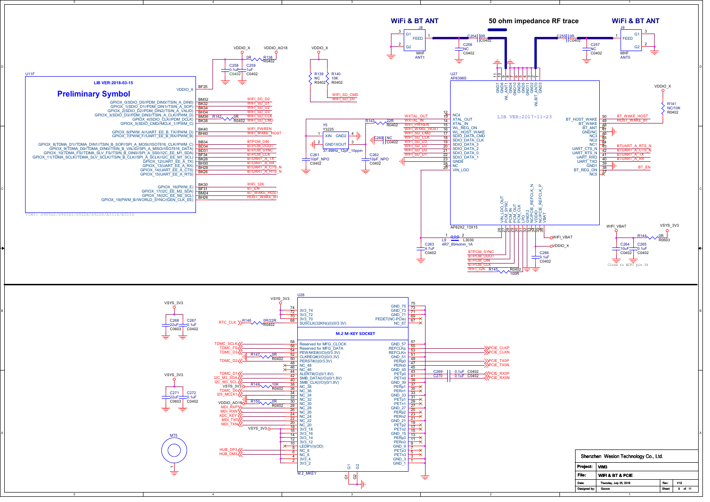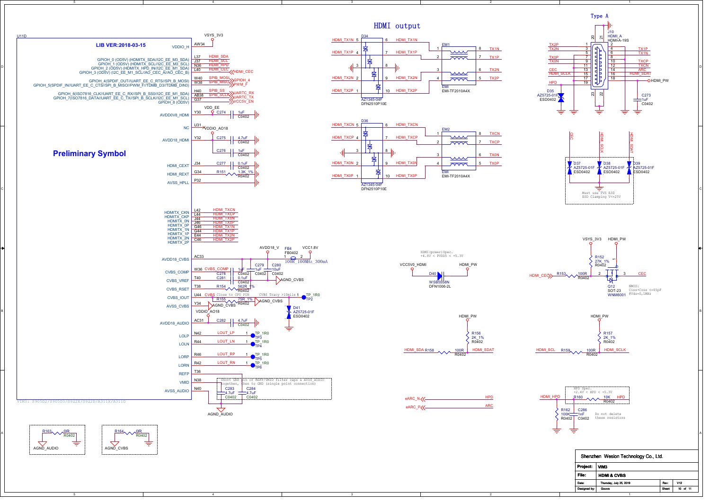